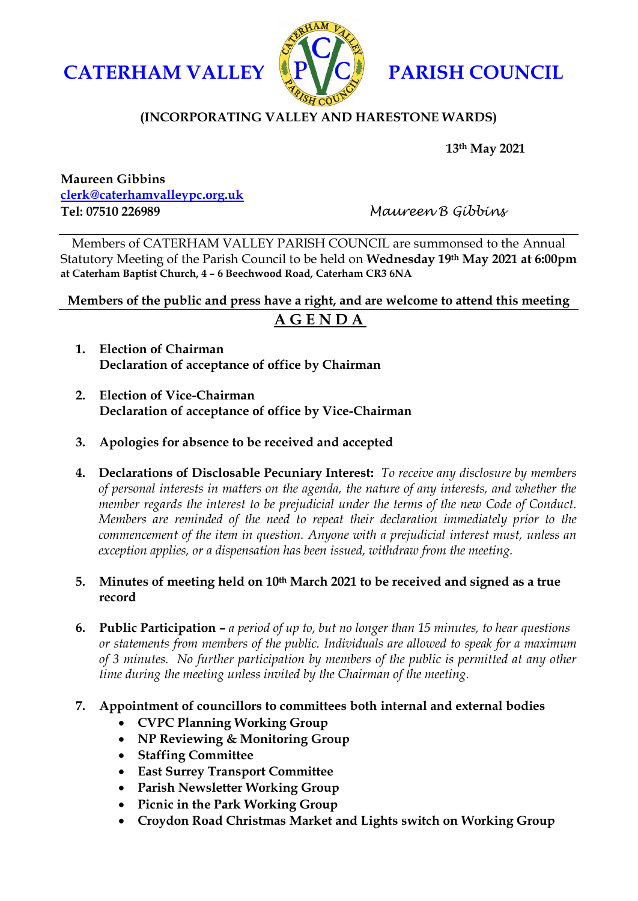



## **(INCORPORATING VALLEY AND HARESTONE WARDS)**

**13th May 2021**

**Maureen Gibbins [clerk@caterhamvalleypc.org.uk](mailto:clerk@caterhamvalleypc.org.uk) Tel: 07510 226989** *Maureen B Gibbins*

Members of CATERHAM VALLEY PARISH COUNCIL are summonsed to the Annual Statutory Meeting of the Parish Council to be held on **Wednesday 19th May 2021 at 6:00pm at Caterham Baptist Church, 4 – 6 Beechwood Road, Caterham CR3 6NA**

**Members of the public and press have a right, and are welcome to attend this meeting**

# **A G E N D A**

- **1. Election of Chairman Declaration of acceptance of office by Chairman**
- **2. Election of Vice-Chairman Declaration of acceptance of office by Vice-Chairman**
- **3. Apologies for absence to be received and accepted**
- **4. Declarations of Disclosable Pecuniary Interest:** *To receive any disclosure by members of personal interests in matters on the agenda, the nature of any interests, and whether the member regards the interest to be prejudicial under the terms of the new Code of Conduct. Members are reminded of the need to repeat their declaration immediately prior to the commencement of the item in question. Anyone with a prejudicial interest must, unless an exception applies, or a dispensation has been issued, withdraw from the meeting.*

### **5. Minutes of meeting held on 10th March 2021 to be received and signed as a true record**

**6. Public Participation –** *a period of up to, but no longer than 15 minutes, to hear questions or statements from members of the public. Individuals are allowed to speak for a maximum of 3 minutes. No further participation by members of the public is permitted at any other time during the meeting unless invited by the Chairman of the meeting.*

### **7. Appointment of councillors to committees both internal and external bodies**

- **CVPC Planning Working Group**
- **NP Reviewing & Monitoring Group**
- **Staffing Committee**
- **East Surrey Transport Committee**
- **Parish Newsletter Working Group**
- **Picnic in the Park Working Group**
- **Croydon Road Christmas Market and Lights switch on Working Group**